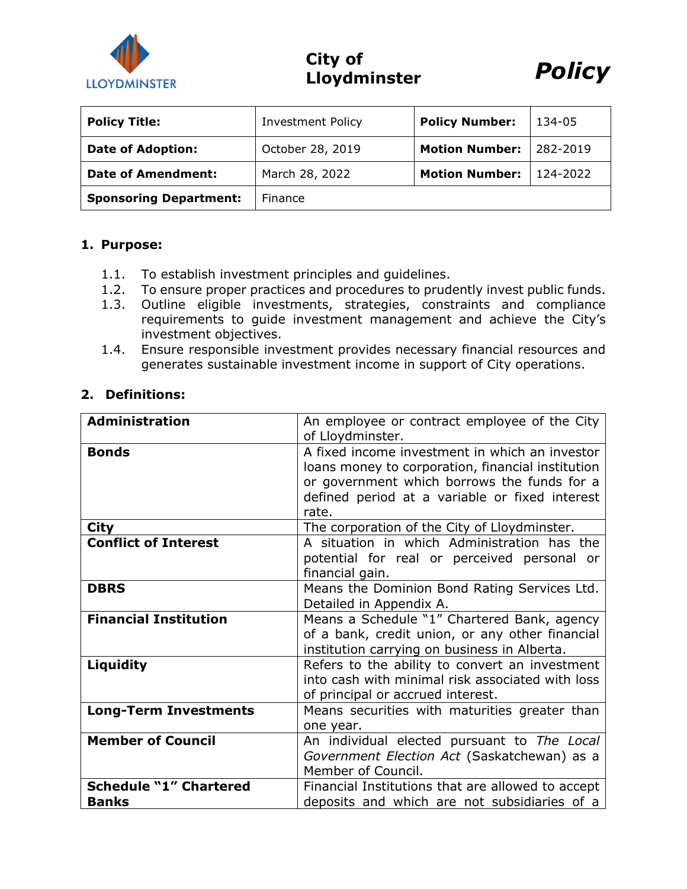

**City of Lloydminster** *Policy*



| <b>Policy Title:</b>          | <b>Investment Policy</b> | <b>Policy Number:</b> | 134-05   |
|-------------------------------|--------------------------|-----------------------|----------|
| <b>Date of Adoption:</b>      | October 28, 2019         | <b>Motion Number:</b> | 282-2019 |
| <b>Date of Amendment:</b>     | March 28, 2022           | <b>Motion Number:</b> | 124-2022 |
| <b>Sponsoring Department:</b> | Finance                  |                       |          |

#### **1. Purpose:**

- 1.1. To establish investment principles and guidelines.
- 1.2. To ensure proper practices and procedures to prudently invest public funds.
- 1.3. Outline eligible investments, strategies, constraints and compliance requirements to guide investment management and achieve the City's investment objectives.
- 1.4. Ensure responsible investment provides necessary financial resources and generates sustainable investment income in support of City operations.

### **2. Definitions:**

| <b>Administration</b>                         | An employee or contract employee of the City<br>of Lloydminster.                                                                                                                                              |  |
|-----------------------------------------------|---------------------------------------------------------------------------------------------------------------------------------------------------------------------------------------------------------------|--|
| <b>Bonds</b>                                  | A fixed income investment in which an investor<br>loans money to corporation, financial institution<br>or government which borrows the funds for a<br>defined period at a variable or fixed interest<br>rate. |  |
| <b>City</b>                                   | The corporation of the City of Lloydminster.                                                                                                                                                                  |  |
| <b>Conflict of Interest</b>                   | A situation in which Administration has the<br>potential for real or perceived personal or<br>financial gain.                                                                                                 |  |
| <b>DBRS</b>                                   | Means the Dominion Bond Rating Services Ltd.<br>Detailed in Appendix A.                                                                                                                                       |  |
| <b>Financial Institution</b>                  | Means a Schedule "1" Chartered Bank, agency<br>of a bank, credit union, or any other financial<br>institution carrying on business in Alberta.                                                                |  |
| Liquidity                                     | Refers to the ability to convert an investment<br>into cash with minimal risk associated with loss<br>of principal or accrued interest.                                                                       |  |
| <b>Long-Term Investments</b>                  | Means securities with maturities greater than<br>one year.                                                                                                                                                    |  |
| <b>Member of Council</b>                      | An individual elected pursuant to The Local<br>Government Election Act (Saskatchewan) as a<br>Member of Council.                                                                                              |  |
| <b>Schedule "1" Chartered</b><br><b>Banks</b> | Financial Institutions that are allowed to accept<br>deposits and which are not subsidiaries of a                                                                                                             |  |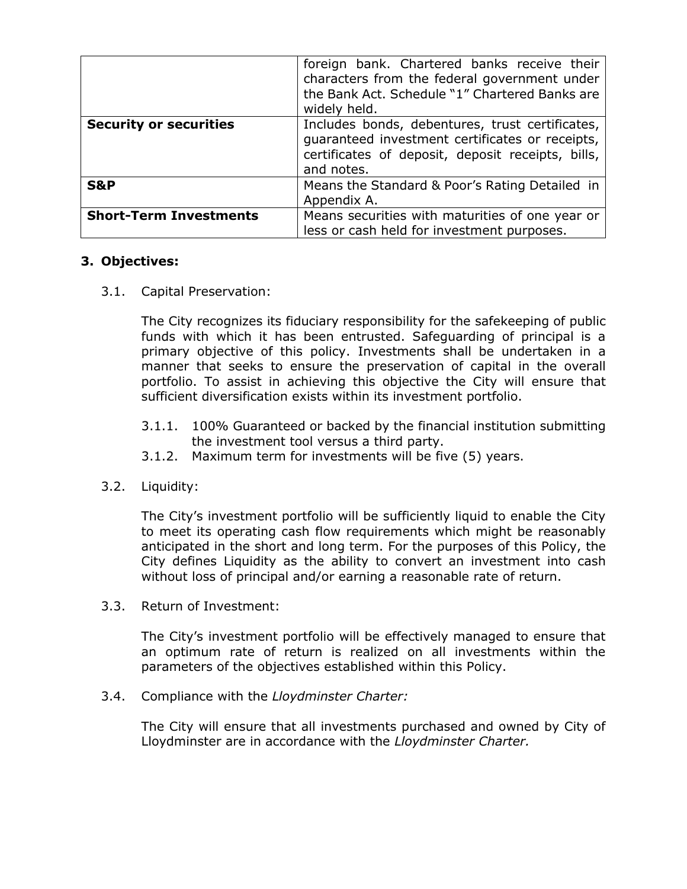|                               | foreign bank. Chartered banks receive their<br>characters from the federal government under<br>the Bank Act. Schedule "1" Chartered Banks are<br>widely held.         |
|-------------------------------|-----------------------------------------------------------------------------------------------------------------------------------------------------------------------|
| <b>Security or securities</b> | Includes bonds, debentures, trust certificates,<br>guaranteed investment certificates or receipts,<br>certificates of deposit, deposit receipts, bills,<br>and notes. |
| <b>S&amp;P</b>                | Means the Standard & Poor's Rating Detailed in<br>Appendix A.                                                                                                         |
| <b>Short-Term Investments</b> | Means securities with maturities of one year or<br>less or cash held for investment purposes.                                                                         |

## **3. Objectives:**

3.1. Capital Preservation:

The City recognizes its fiduciary responsibility for the safekeeping of public funds with which it has been entrusted. Safeguarding of principal is a primary objective of this policy. Investments shall be undertaken in a manner that seeks to ensure the preservation of capital in the overall portfolio. To assist in achieving this objective the City will ensure that sufficient diversification exists within its investment portfolio.

- 3.1.1. 100% Guaranteed or backed by the financial institution submitting the investment tool versus a third party.
- 3.1.2. Maximum term for investments will be five (5) years.
- 3.2. Liquidity:

The City's investment portfolio will be sufficiently liquid to enable the City to meet its operating cash flow requirements which might be reasonably anticipated in the short and long term. For the purposes of this Policy, the City defines Liquidity as the ability to convert an investment into cash without loss of principal and/or earning a reasonable rate of return.

3.3. Return of Investment:

The City's investment portfolio will be effectively managed to ensure that an optimum rate of return is realized on all investments within the parameters of the objectives established within this Policy.

3.4. Compliance with the *Lloydminster Charter:*

The City will ensure that all investments purchased and owned by City of Lloydminster are in accordance with the *Lloydminster Charter.*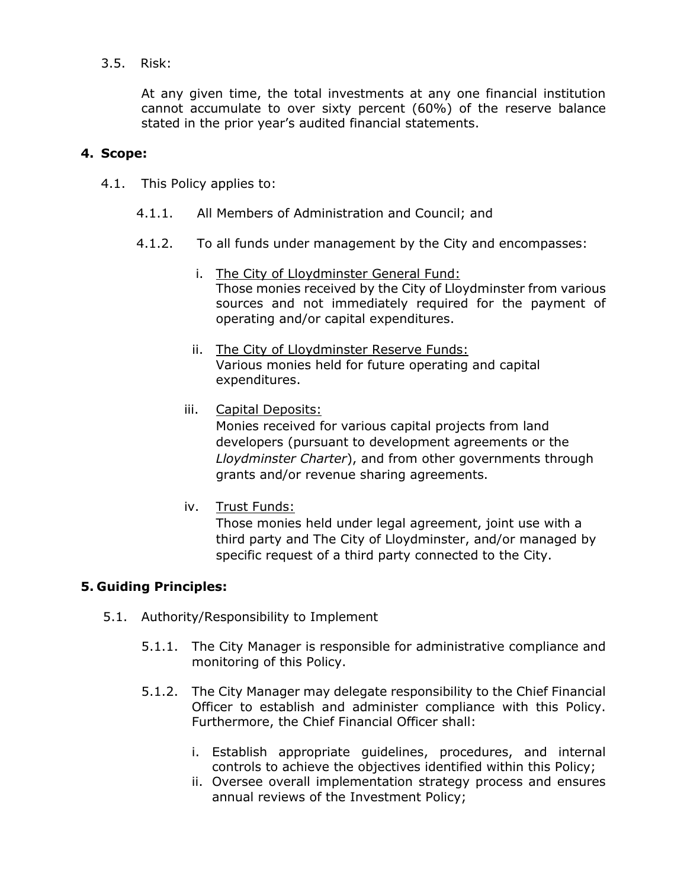## 3.5. Risk:

At any given time, the total investments at any one financial institution cannot accumulate to over sixty percent (60%) of the reserve balance stated in the prior year's audited financial statements.

### **4. Scope:**

- 4.1. This Policy applies to:
	- 4.1.1. All Members of Administration and Council; and
	- 4.1.2. To all funds under management by the City and encompasses:
		- i. The City of Lloydminster General Fund: Those monies received by the City of Lloydminster from various sources and not immediately required for the payment of operating and/or capital expenditures.
		- ii. The City of Lloydminster Reserve Funds: Various monies held for future operating and capital expenditures.
		- iii. Capital Deposits:

Monies received for various capital projects from land developers (pursuant to development agreements or the *Lloydminster Charter*), and from other governments through grants and/or revenue sharing agreements.

iv. Trust Funds:

Those monies held under legal agreement, joint use with a third party and The City of Lloydminster, and/or managed by specific request of a third party connected to the City.

#### **5. Guiding Principles:**

- 5.1. Authority/Responsibility to Implement
	- 5.1.1. The City Manager is responsible for administrative compliance and monitoring of this Policy.
	- 5.1.2. The City Manager may delegate responsibility to the Chief Financial Officer to establish and administer compliance with this Policy. Furthermore, the Chief Financial Officer shall:
		- i. Establish appropriate guidelines, procedures, and internal controls to achieve the objectives identified within this Policy;
		- ii. Oversee overall implementation strategy process and ensures annual reviews of the Investment Policy;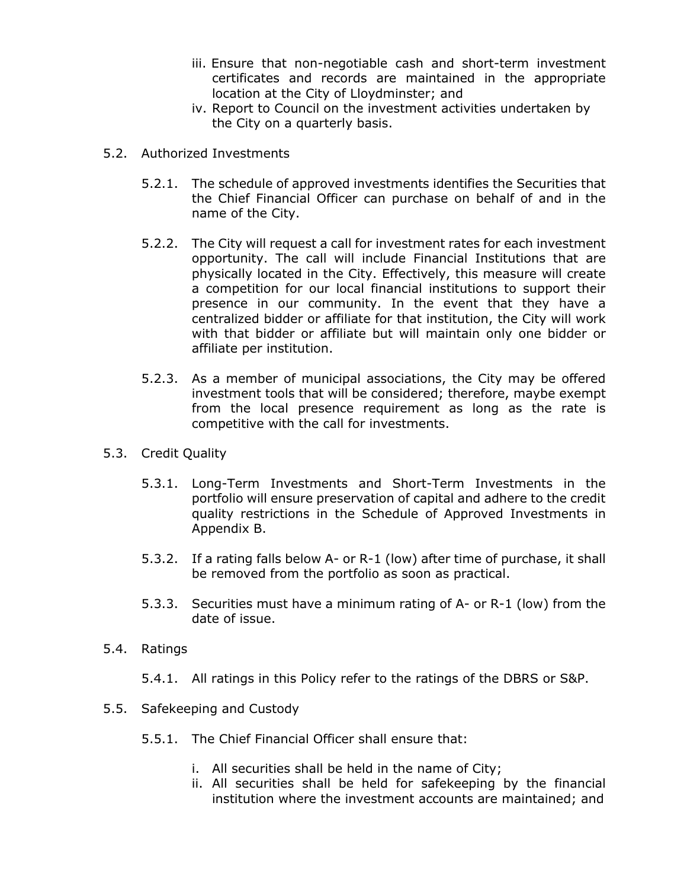- iii. Ensure that non-negotiable cash and short-term investment certificates and records are maintained in the appropriate location at the City of Lloydminster; and
- iv. Report to Council on the investment activities undertaken by the City on a quarterly basis.
- 5.2. Authorized Investments
	- 5.2.1. The schedule of approved investments identifies the Securities that the Chief Financial Officer can purchase on behalf of and in the name of the City.
	- 5.2.2. The City will request a call for investment rates for each investment opportunity. The call will include Financial Institutions that are physically located in the City. Effectively, this measure will create a competition for our local financial institutions to support their presence in our community. In the event that they have a centralized bidder or affiliate for that institution, the City will work with that bidder or affiliate but will maintain only one bidder or affiliate per institution.
	- 5.2.3. As a member of municipal associations, the City may be offered investment tools that will be considered; therefore, maybe exempt from the local presence requirement as long as the rate is competitive with the call for investments.
- 5.3. Credit Quality
	- 5.3.1. Long-Term Investments and Short-Term Investments in the portfolio will ensure preservation of capital and adhere to the credit quality restrictions in the Schedule of Approved Investments in Appendix B.
	- 5.3.2. If a rating falls below A- or R-1 (low) after time of purchase, it shall be removed from the portfolio as soon as practical.
	- 5.3.3. Securities must have a minimum rating of A- or R-1 (low) from the date of issue.
- 5.4. Ratings
	- 5.4.1. All ratings in this Policy refer to the ratings of the DBRS or S&P.
- 5.5. Safekeeping and Custody
	- 5.5.1. The Chief Financial Officer shall ensure that:
		- i. All securities shall be held in the name of City;
		- ii. All securities shall be held for safekeeping by the financial institution where the investment accounts are maintained; and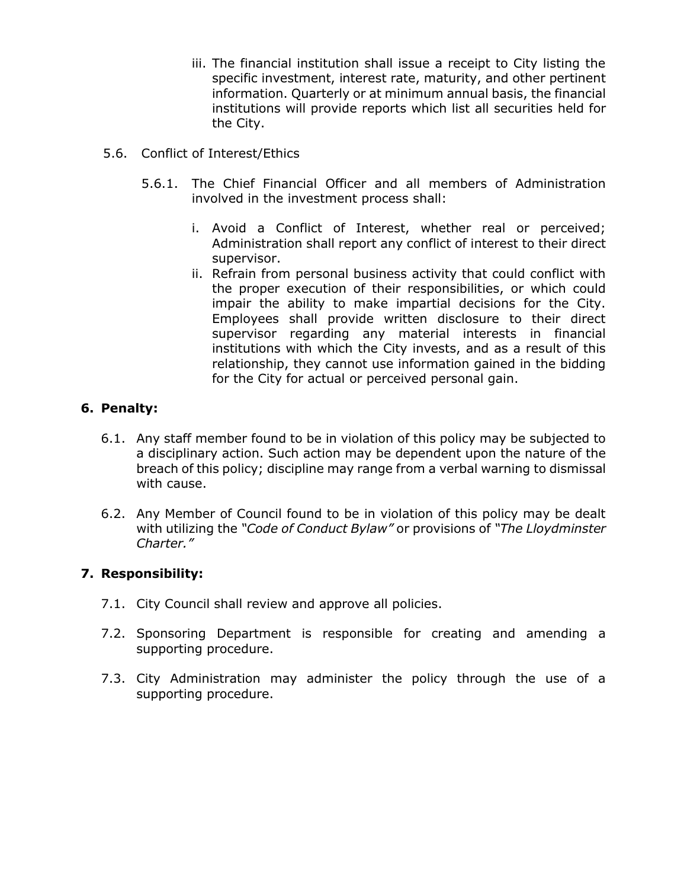- iii. The financial institution shall issue a receipt to City listing the specific investment, interest rate, maturity, and other pertinent information. Quarterly or at minimum annual basis, the financial institutions will provide reports which list all securities held for the City.
- 5.6. Conflict of Interest/Ethics
	- 5.6.1. The Chief Financial Officer and all members of Administration involved in the investment process shall:
		- i. Avoid a Conflict of Interest, whether real or perceived; Administration shall report any conflict of interest to their direct supervisor.
		- ii. Refrain from personal business activity that could conflict with the proper execution of their responsibilities, or which could impair the ability to make impartial decisions for the City. Employees shall provide written disclosure to their direct supervisor regarding any material interests in financial institutions with which the City invests, and as a result of this relationship, they cannot use information gained in the bidding for the City for actual or perceived personal gain.

# **6. Penalty:**

- 6.1. Any staff member found to be in violation of this policy may be subjected to a disciplinary action. Such action may be dependent upon the nature of the breach of this policy; discipline may range from a verbal warning to dismissal with cause.
- 6.2. Any Member of Council found to be in violation of this policy may be dealt with utilizing the *"Code of Conduct Bylaw"* or provisions of *"The Lloydminster Charter."*

# **7. Responsibility:**

- 7.1. City Council shall review and approve all policies.
- 7.2. Sponsoring Department is responsible for creating and amending a supporting procedure.
- 7.3. City Administration may administer the policy through the use of a supporting procedure.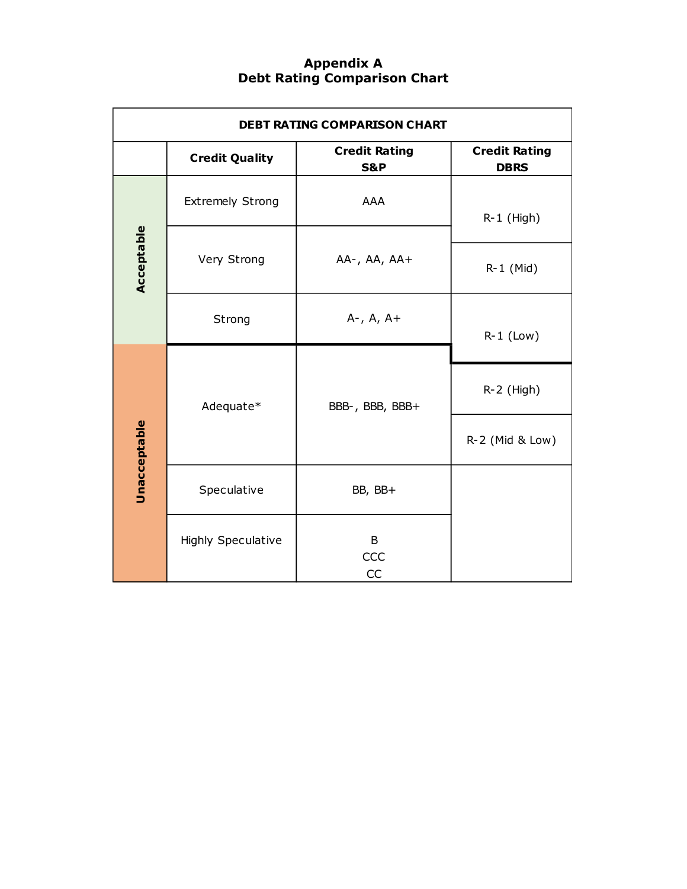## **Appendix A Debt Rating Comparison Chart**

| <b>DEBT RATING COMPARISON CHART</b> |                           |                                        |                                     |  |  |  |
|-------------------------------------|---------------------------|----------------------------------------|-------------------------------------|--|--|--|
|                                     | <b>Credit Quality</b>     | <b>Credit Rating</b><br><b>S&amp;P</b> | <b>Credit Rating</b><br><b>DBRS</b> |  |  |  |
|                                     | <b>Extremely Strong</b>   | <b>AAA</b>                             | $R-1$ (High)                        |  |  |  |
| Acceptable                          | Very Strong               | $AA-, AA, AA+$                         | R-1 (Mid)                           |  |  |  |
|                                     | Strong                    | $A-$ , $A$ , $A+$                      | $R-1$ (Low)                         |  |  |  |
| Unacceptable                        | Adequate*                 | BBB-, BBB, BBB+                        | $R-2$ (High)                        |  |  |  |
|                                     |                           |                                        | R-2 (Mid & Low)                     |  |  |  |
|                                     | Speculative               | BB, BB+                                |                                     |  |  |  |
|                                     | <b>Highly Speculative</b> | B<br>CCC<br>CC                         |                                     |  |  |  |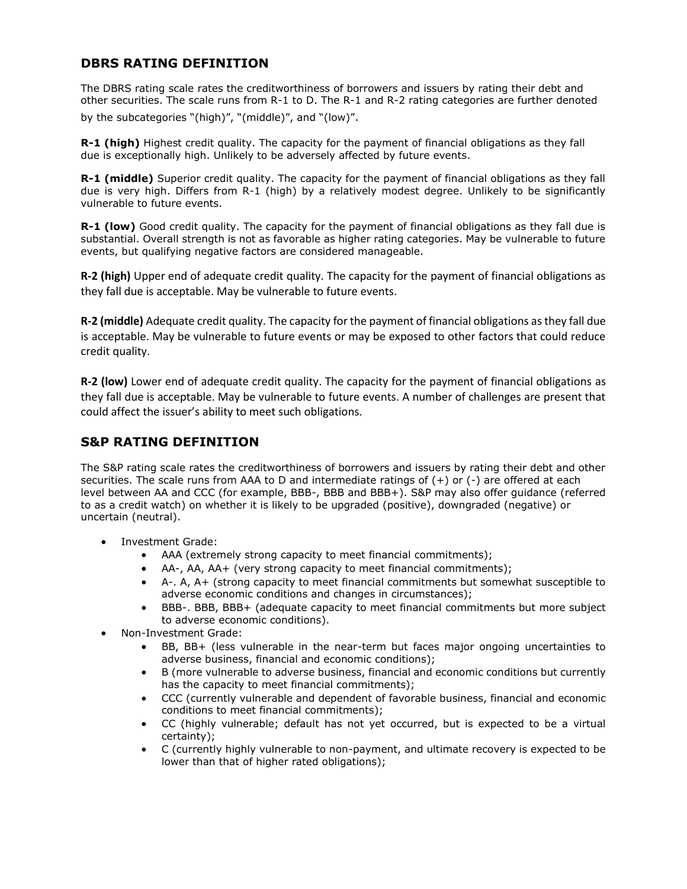## **DBRS RATING DEFINITION**

The DBRS rating scale rates the creditworthiness of borrowers and issuers by rating their debt and other securities. The scale runs from R-1 to D. The R-1 and R-2 rating categories are further denoted by the subcategories "(high)", "(middle)", and "(low)".

**R-1 (high)** Highest credit quality. The capacity for the payment of financial obligations as they fall due is exceptionally high. Unlikely to be adversely affected by future events.

**R-1 (middle)** Superior credit quality. The capacity for the payment of financial obligations as they fall due is very high. Differs from R-1 (high) by a relatively modest degree. Unlikely to be significantly vulnerable to future events.

**R-1 (low)** Good credit quality. The capacity for the payment of financial obligations as they fall due is substantial. Overall strength is not as favorable as higher rating categories. May be vulnerable to future events, but qualifying negative factors are considered manageable.

**R-2 (high)** Upper end of adequate credit quality. The capacity for the payment of financial obligations as they fall due is acceptable. May be vulnerable to future events.

**R-2 (middle)** Adequate credit quality. The capacity for the payment of financial obligations as they fall due is acceptable. May be vulnerable to future events or may be exposed to other factors that could reduce credit quality.

**R-2 (low)** Lower end of adequate credit quality. The capacity for the payment of financial obligations as they fall due is acceptable. May be vulnerable to future events. A number of challenges are present that could affect the issuer's ability to meet such obligations.

#### **S&P RATING DEFINITION**

The S&P rating scale rates the creditworthiness of borrowers and issuers by rating their debt and other securities. The scale runs from AAA to D and intermediate ratings of (+) or (-) are offered at each level between AA and CCC (for example, BBB-, BBB and BBB+). S&P may also offer guidance (referred to as a credit watch) on whether it is likely to be upgraded (positive), downgraded (negative) or uncertain (neutral).

- Investment Grade:
	- AAA (extremely strong capacity to meet financial commitments);
	- AA-, AA, AA+ (very strong capacity to meet financial commitments);
	- A-. A, A+ (strong capacity to meet financial commitments but somewhat susceptible to adverse economic conditions and changes in circumstances);
	- BBB-. BBB, BBB+ (adequate capacity to meet financial commitments but more subject to adverse economic conditions).
- Non-Investment Grade:
	- BB, BB+ (less vulnerable in the near-term but faces major ongoing uncertainties to adverse business, financial and economic conditions);
	- B (more vulnerable to adverse business, financial and economic conditions but currently has the capacity to meet financial commitments);
	- CCC (currently vulnerable and dependent of favorable business, financial and economic conditions to meet financial commitments);
	- CC (highly vulnerable; default has not yet occurred, but is expected to be a virtual certainty);
	- C (currently highly vulnerable to non-payment, and ultimate recovery is expected to be lower than that of higher rated obligations);